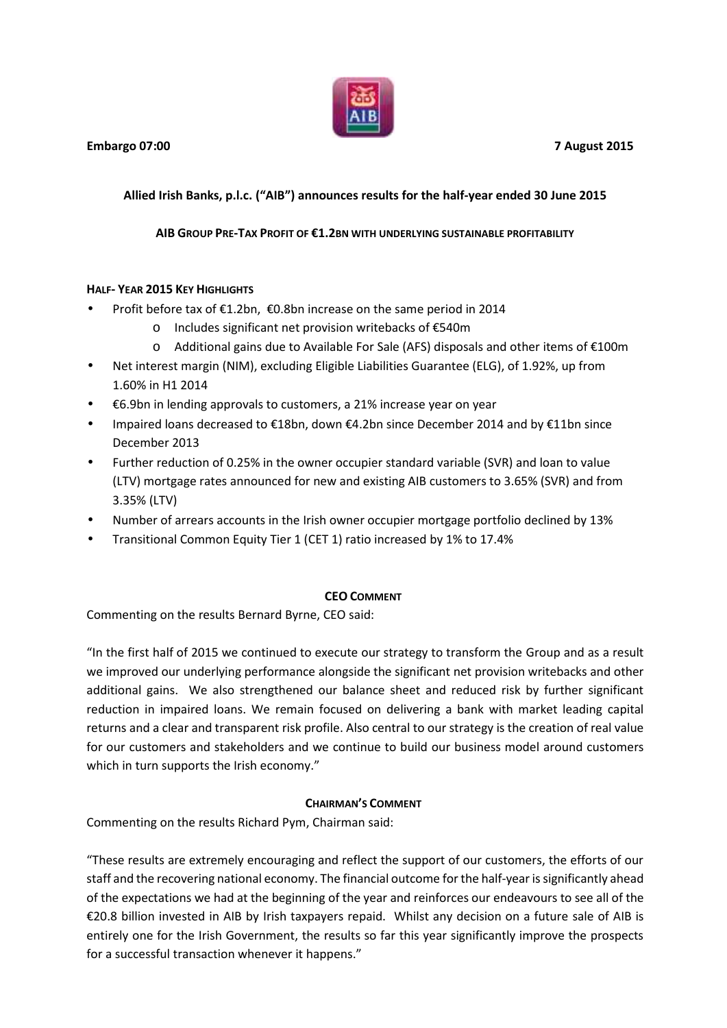

# **Allied Irish Banks, p.l.c. ("AIB") announces results for the half-year ended 30 June 2015**

## **AIB GROUP PRE-TAX PROFIT OF €1.2BN WITH UNDERLYING SUSTAINABLE PROFITABILITY**

## **HALF- YEAR 2015 KEY HIGHLIGHTS**

- Profit before tax of €1.2bn, €0.8bn increase on the same period in 2014
	- o Includes significant net provision writebacks of €540m
	- o Additional gains due to Available For Sale (AFS) disposals and other items of €100m
- Net interest margin (NIM), excluding Eligible Liabilities Guarantee (ELG), of 1.92%, up from 1.60% in H1 2014
- €6.9bn in lending approvals to customers, a 21% increase year on year
- Impaired loans decreased to €18bn, down €4.2bn since December 2014 and by €11bn since December 2013
- Further reduction of 0.25% in the owner occupier standard variable (SVR) and loan to value (LTV) mortgage rates announced for new and existing AIB customers to 3.65% (SVR) and from 3.35% (LTV)
- Number of arrears accounts in the Irish owner occupier mortgage portfolio declined by 13%
- Transitional Common Equity Tier 1 (CET 1) ratio increased by 1% to 17.4%

### **CEO COMMENT**

Commenting on the results Bernard Byrne, CEO said:

"In the first half of 2015 we continued to execute our strategy to transform the Group and as a result we improved our underlying performance alongside the significant net provision writebacks and other additional gains. We also strengthened our balance sheet and reduced risk by further significant reduction in impaired loans. We remain focused on delivering a bank with market leading capital returns and a clear and transparent risk profile. Also central to our strategy is the creation of real value for our customers and stakeholders and we continue to build our business model around customers which in turn supports the Irish economy."

### **CHAIRMAN'S COMMENT**

Commenting on the results Richard Pym, Chairman said:

"These results are extremely encouraging and reflect the support of our customers, the efforts of our staff and the recovering national economy. The financial outcome for the half-year issignificantly ahead of the expectations we had at the beginning of the year and reinforces our endeavours to see all of the €20.8 billion invested in AIB by Irish taxpayers repaid. Whilst any decision on a future sale of AIB is entirely one for the Irish Government, the results so far this year significantly improve the prospects for a successful transaction whenever it happens."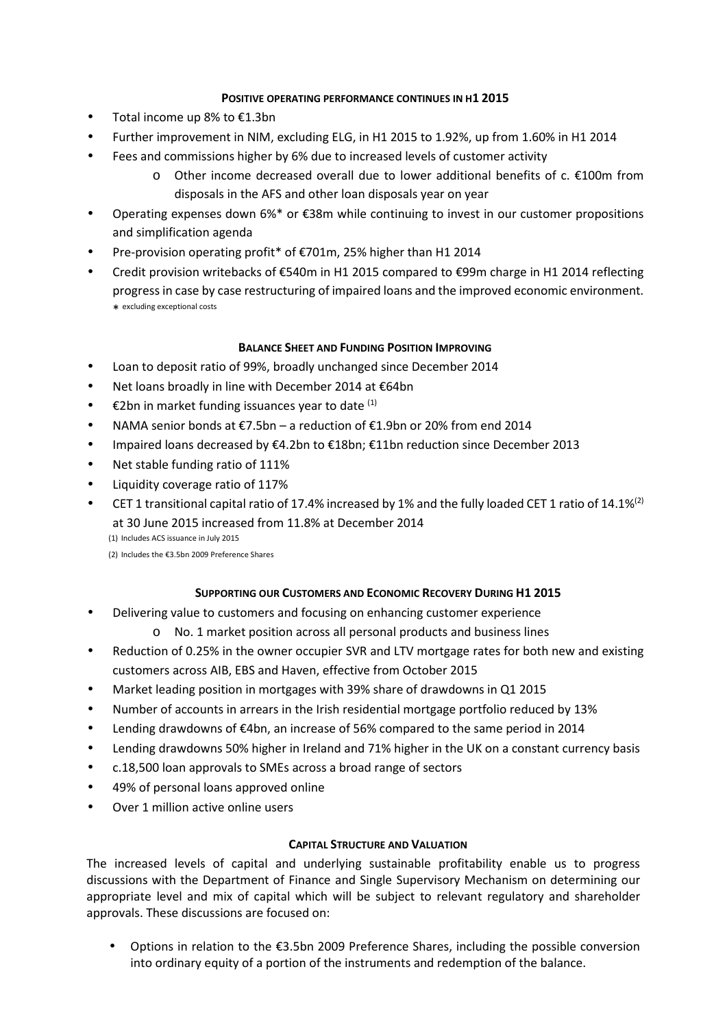## **POSITIVE OPERATING PERFORMANCE CONTINUES IN H1 2015**

- Total income up 8% to €1.3bn
- Further improvement in NIM, excluding ELG, in H1 2015 to 1.92%, up from 1.60% in H1 2014
- Fees and commissions higher by 6% due to increased levels of customer activity
	- $\circ$  Other income decreased overall due to lower additional benefits of c. €100m from disposals in the AFS and other loan disposals year on year
- Operating expenses down 6%\* or €38m while continuing to invest in our customer propositions and simplification agenda
- Pre-provision operating profit\* of €701m, 25% higher than H1 2014
- Credit provision writebacks of €540m in H1 2015 compared to €99m charge in H1 2014 reflecting progress in case by case restructuring of impaired loans and the improved economic environment. \* excluding exceptional costs

## **BALANCE SHEET AND FUNDING POSITION IMPROVING**

- Loan to deposit ratio of 99%, broadly unchanged since December 2014
- Net loans broadly in line with December 2014 at €64bn
- $\bullet$  €2bn in market funding issuances year to date  $(1)$
- NAMA senior bonds at €7.5bn a reduction of €1.9bn or 20% from end 2014
- Impaired loans decreased by €4.2bn to €18bn; €11bn reduction since December 2013
- Net stable funding ratio of 111%
- Liquidity coverage ratio of 117%
- **•** CET 1 transitional capital ratio of 17.4% increased by 1% and the fully loaded CET 1 ratio of 14.1%<sup>(2)</sup> at 30 June 2015 increased from 11.8% at December 2014 (1) Includes ACS issuance in July 2015

(2) Includes the €3.5bn 2009 Preference Shares

# **SUPPORTING OUR CUSTOMERS AND ECONOMIC RECOVERY DURING H1 2015**

- Delivering value to customers and focusing on enhancing customer experience
	- o No. 1 market position across all personal products and business lines
- Reduction of 0.25% in the owner occupier SVR and LTV mortgage rates for both new and existing customers across AIB, EBS and Haven, effective from October 2015
- Market leading position in mortgages with 39% share of drawdowns in Q1 2015
- Number of accounts in arrears in the Irish residential mortgage portfolio reduced by 13%
- Lending drawdowns of €4bn, an increase of 56% compared to the same period in 2014
- Lending drawdowns 50% higher in Ireland and 71% higher in the UK on a constant currency basis
- c.18,500 loan approvals to SMEs across a broad range of sectors
- 49% of personal loans approved online
- Over 1 million active online users

# **CAPITAL STRUCTURE AND VALUATION**

The increased levels of capital and underlying sustainable profitability enable us to progress discussions with the Department of Finance and Single Supervisory Mechanism on determining our appropriate level and mix of capital which will be subject to relevant regulatory and shareholder approvals. These discussions are focused on:

 Options in relation to the €3.5bn 2009 Preference Shares, including the possible conversion into ordinary equity of a portion of the instruments and redemption of the balance.